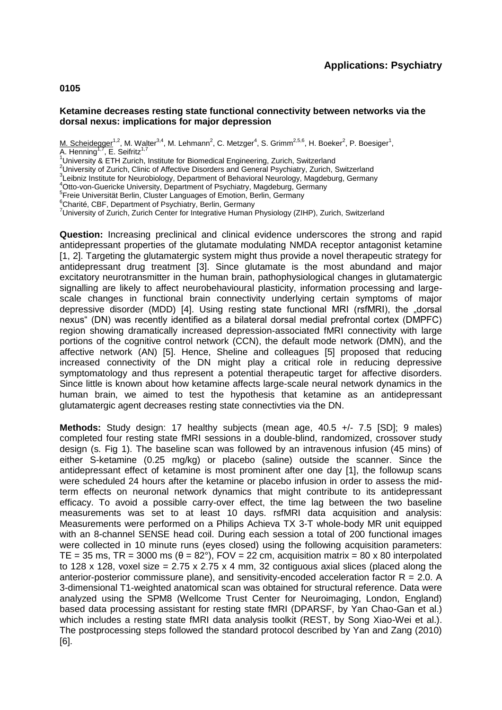### **0105**

#### **Ketamine decreases resting state functional connectivity between networks via the dorsal nexus: implications for major depression**

M. Scheidegger<sup>1,2</sup>, M. Walter<sup>3,4</sup>, M. Lehmann<sup>2</sup>, C. Metzger<sup>4</sup>, S. Grimm<sup>2,5,6</sup>, H. Boeker<sup>2</sup>, P. Boesiger<sup>1</sup>, A. Henning<sup>1,7</sup>, E. Seifritz<sup>1,7</sup>

 $1$ University & ETH Zurich, Institute for Biomedical Engineering, Zurich, Switzerland

<sup>2</sup>University of Zurich, Clinic of Affective Disorders and General Psychiatry, Zurich, Switzerland

<sup>3</sup>Leibniz Institute for Neurobiology, Department of Behavioral Neurology, Magdeburg, Germany

<sup>4</sup>Otto-von-Guericke University, Department of Psychiatry, Magdeburg, Germany

<sup>5</sup> Freie Universität Berlin, Cluster Languages of Emotion, Berlin, Germany

<sup>6</sup>Charité, CBF, Department of Psychiatry, Berlin, Germany

<sup>7</sup>University of Zurich, Zurich Center for Integrative Human Physiology (ZIHP), Zurich, Switzerland

**Question:** Increasing preclinical and clinical evidence underscores the strong and rapid antidepressant properties of the glutamate modulating NMDA receptor antagonist ketamine [1, 2]. Targeting the glutamatergic system might thus provide a novel therapeutic strategy for antidepressant drug treatment [3]. Since glutamate is the most abundand and major excitatory neurotransmitter in the human brain, pathophysiological changes in glutamatergic signalling are likely to affect neurobehavioural plasticity, information processing and largescale changes in functional brain connectivity underlying certain symptoms of major depressive disorder (MDD) [4]. Using resting state functional MRI (rsfMRI), the "dorsal nexus" (DN) was recently identified as a bilateral dorsal medial prefrontal cortex (DMPFC) region showing dramatically increased depression-associated fMRI connectivity with large portions of the cognitive control network (CCN), the default mode network (DMN), and the affective network (AN) [5]. Hence, Sheline and colleagues [5] proposed that reducing increased connectivity of the DN might play a critical role in reducing depressive symptomatology and thus represent a potential therapeutic target for affective disorders. Since little is known about how ketamine affects large-scale neural network dynamics in the human brain, we aimed to test the hypothesis that ketamine as an antidepressant glutamatergic agent decreases resting state connectivties via the DN.

**Methods:** Study design: 17 healthy subjects (mean age, 40.5 +/- 7.5 [SD]; 9 males) completed four resting state fMRI sessions in a double-blind, randomized, crossover study design (s. Fig 1). The baseline scan was followed by an intravenous infusion (45 mins) of either S-ketamine (0.25 mg/kg) or placebo (saline) outside the scanner. Since the antidepressant effect of ketamine is most prominent after one day [1], the followup scans were scheduled 24 hours after the ketamine or placebo infusion in order to assess the midterm effects on neuronal network dynamics that might contribute to its antidepressant efficacy. To avoid a possible carry-over effect, the time lag between the two baseline measurements was set to at least 10 days. rsfMRI data acquisition and analysis: Measurements were performed on a Philips Achieva TX 3-T whole-body MR unit equipped with an 8-channel SENSE head coil. During each session a total of 200 functional images were collected in 10 minute runs (eyes closed) using the following acquisition parameters: TE = 35 ms, TR = 3000 ms  $(\theta = 82^{\circ})$ , FOV = 22 cm, acquisition matrix = 80 x 80 interpolated to 128 x 128, voxel size = 2.75 x 2.75 x 4 mm, 32 contiguous axial slices (placed along the anterior-posterior commissure plane), and sensitivity-encoded acceleration factor  $R = 2.0$ . A 3-dimensional T1-weighted anatomical scan was obtained for structural reference. Data were analyzed using the SPM8 (Wellcome Trust Center for Neuroimaging, London, England) based data processing assistant for resting state fMRI (DPARSF, by Yan Chao-Gan et al.) which includes a resting state fMRI data analysis toolkit (REST, by Song Xiao-Wei et al.). The postprocessing steps followed the standard protocol described by Yan and Zang (2010) [6].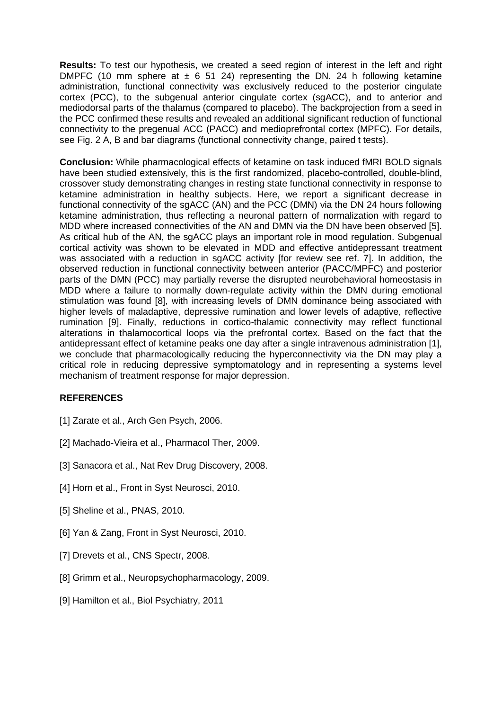**Results:** To test our hypothesis, we created a seed region of interest in the left and right DMPFC (10 mm sphere at  $\pm$  6 51 24) representing the DN. 24 h following ketamine administration, functional connectivity was exclusively reduced to the posterior cingulate cortex (PCC), to the subgenual anterior cingulate cortex (sgACC), and to anterior and mediodorsal parts of the thalamus (compared to placebo). The backprojection from a seed in the PCC confirmed these results and revealed an additional significant reduction of functional connectivity to the pregenual ACC (PACC) and medioprefrontal cortex (MPFC). For details, see Fig. 2 A, B and bar diagrams (functional connectivity change, paired t tests).

**Conclusion:** While pharmacological effects of ketamine on task induced fMRI BOLD signals have been studied extensively, this is the first randomized, placebo-controlled, double-blind, crossover study demonstrating changes in resting state functional connectivity in response to ketamine administration in healthy subjects. Here, we report a significant decrease in functional connectivity of the sgACC (AN) and the PCC (DMN) via the DN 24 hours following ketamine administration, thus reflecting a neuronal pattern of normalization with regard to MDD where increased connectivities of the AN and DMN via the DN have been observed [5]. As critical hub of the AN, the sgACC plays an important role in mood regulation. Subgenual cortical activity was shown to be elevated in MDD and effective antidepressant treatment was associated with a reduction in sgACC activity [for review see ref. 7]. In addition, the observed reduction in functional connectivity between anterior (PACC/MPFC) and posterior parts of the DMN (PCC) may partially reverse the disrupted neurobehavioral homeostasis in MDD where a failure to normally down-regulate activity within the DMN during emotional stimulation was found [8], with increasing levels of DMN dominance being associated with higher levels of maladaptive, depressive rumination and lower levels of adaptive, reflective rumination [9]. Finally, reductions in cortico-thalamic connectivity may reflect functional alterations in thalamocortical loops via the prefrontal cortex. Based on the fact that the antidepressant effect of ketamine peaks one day after a single intravenous administration [1], we conclude that pharmacologically reducing the hyperconnectivity via the DN may play a critical role in reducing depressive symptomatology and in representing a systems level mechanism of treatment response for major depression.

# **REFERENCES**

- [1] Zarate et al., Arch Gen Psych, 2006.
- [2] Machado-Vieira et al., Pharmacol Ther, 2009.
- [3] Sanacora et al., Nat Rev Drug Discovery, 2008.
- [4] Horn et al., Front in Syst Neurosci, 2010.
- [5] Sheline et al., PNAS, 2010.
- [6] Yan & Zang, Front in Syst Neurosci, 2010.
- [7] Drevets et al., CNS Spectr, 2008.
- [8] Grimm et al., Neuropsychopharmacology, 2009.
- [9] Hamilton et al., Biol Psychiatry, 2011